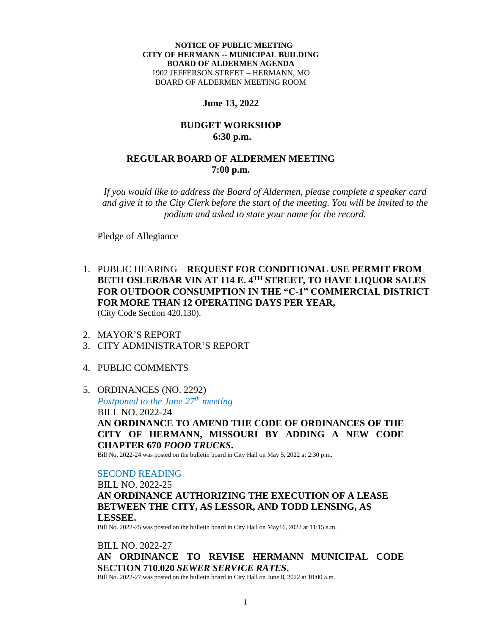### **NOTICE OF PUBLIC MEETING CITY OF HERMANN -- MUNICIPAL BUILDING BOARD OF ALDERMEN AGENDA** 1902 JEFFERSON STREET – HERMANN, MO BOARD OF ALDERMEN MEETING ROOM

## **June 13, 2022**

## **BUDGET WORKSHOP 6:30 p.m.**

# **REGULAR BOARD OF ALDERMEN MEETING 7:00 p.m.**

*If you would like to address the Board of Aldermen, please complete a speaker card and give it to the City Clerk before the start of the meeting. You will be invited to the podium and asked to state your name for the record.*

Pledge of Allegiance

- 1. PUBLIC HEARING **REQUEST FOR CONDITIONAL USE PERMIT FROM BETH OSLER/BAR VIN AT 114 E. 4TH STREET, TO HAVE LIQUOR SALES FOR OUTDOOR CONSUMPTION IN THE "C-1" COMMERCIAL DISTRICT FOR MORE THAN 12 OPERATING DAYS PER YEAR,** (City Code Section 420.130).
- 2. MAYOR'S REPORT
- 3. CITY ADMINISTRATOR'S REPORT
- 4. PUBLIC COMMENTS

# 5. ORDINANCES (NO. 2292)

*Postponed to the June 27th meeting* BILL NO. 2022-24 **AN ORDINANCE TO AMEND THE CODE OF ORDINANCES OF THE CITY OF HERMANN, MISSOURI BY ADDING A NEW CODE CHAPTER 670** *FOOD TRUCKS***.** 

Bill No. 2022-24 was posted on the bulletin board in City Hall on May 5, 2022 at 2:30 p.m.

## SECOND READING

BILL NO. 2022-25 **AN ORDINANCE AUTHORIZING THE EXECUTION OF A LEASE BETWEEN THE CITY, AS LESSOR, AND TODD LENSING, AS LESSEE.**

Bill No. 2022-25 was posted on the bulletin board in City Hall on May16, 2022 at 11:15 a.m.

BILL NO. 2022-27 **AN ORDINANCE TO REVISE HERMANN MUNICIPAL CODE SECTION 710.020** *SEWER SERVICE RATES***.**  Bill No. 2022-27 was posted on the bulletin board in City Hall on June 8, 2022 at 10:00 a.m.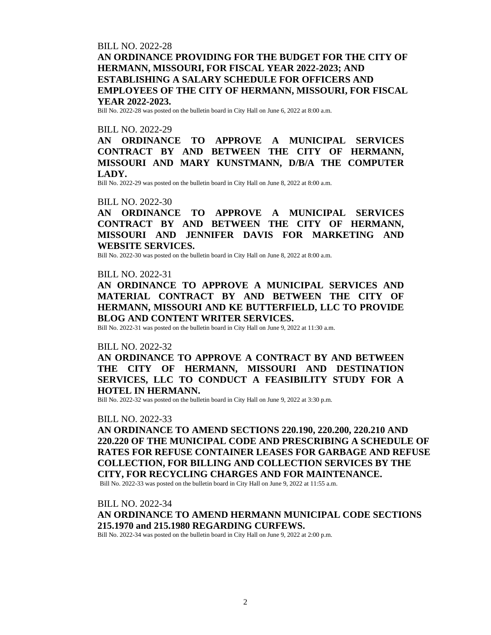# BILL NO. 2022-28 **AN ORDINANCE PROVIDING FOR THE BUDGET FOR THE CITY OF HERMANN, MISSOURI, FOR FISCAL YEAR 2022-2023; AND ESTABLISHING A SALARY SCHEDULE FOR OFFICERS AND EMPLOYEES OF THE CITY OF HERMANN, MISSOURI, FOR FISCAL YEAR 2022-2023.**

Bill No. 2022-28 was posted on the bulletin board in City Hall on June 6, 2022 at 8:00 a.m.

## BILL NO. 2022-29

**AN ORDINANCE TO APPROVE A MUNICIPAL SERVICES CONTRACT BY AND BETWEEN THE CITY OF HERMANN, MISSOURI AND MARY KUNSTMANN, D/B/A THE COMPUTER LADY.** 

Bill No. 2022-29 was posted on the bulletin board in City Hall on June 8, 2022 at 8:00 a.m.

#### BILL NO. 2022-30

**AN ORDINANCE TO APPROVE A MUNICIPAL SERVICES CONTRACT BY AND BETWEEN THE CITY OF HERMANN, MISSOURI AND JENNIFER DAVIS FOR MARKETING AND WEBSITE SERVICES.** 

Bill No. 2022-30 was posted on the bulletin board in City Hall on June 8, 2022 at 8:00 a.m.

## BILL NO. 2022-31

**AN ORDINANCE TO APPROVE A MUNICIPAL SERVICES AND MATERIAL CONTRACT BY AND BETWEEN THE CITY OF HERMANN, MISSOURI AND KE BUTTERFIELD, LLC TO PROVIDE BLOG AND CONTENT WRITER SERVICES.**

Bill No. 2022-31 was posted on the bulletin board in City Hall on June 9, 2022 at 11:30 a.m.

#### BILL NO. 2022-32

**AN ORDINANCE TO APPROVE A CONTRACT BY AND BETWEEN THE CITY OF HERMANN, MISSOURI AND DESTINATION SERVICES, LLC TO CONDUCT A FEASIBILITY STUDY FOR A HOTEL IN HERMANN.**

Bill No. 2022-32 was posted on the bulletin board in City Hall on June 9, 2022 at 3:30 p.m.

#### BILL NO. 2022-33

**AN ORDINANCE TO AMEND SECTIONS 220.190, 220.200, 220.210 AND 220.220 OF THE MUNICIPAL CODE AND PRESCRIBING A SCHEDULE OF RATES FOR REFUSE CONTAINER LEASES FOR GARBAGE AND REFUSE COLLECTION, FOR BILLING AND COLLECTION SERVICES BY THE CITY, FOR RECYCLING CHARGES AND FOR MAINTENANCE.**  Bill No. 2022-33 was posted on the bulletin board in City Hall on June 9, 2022 at 11:55 a.m.

BILL NO. 2022-34

**AN ORDINANCE TO AMEND HERMANN MUNICIPAL CODE SECTIONS 215.1970 and 215.1980 REGARDING CURFEWS.** 

Bill No. 2022-34 was posted on the bulletin board in City Hall on June 9, 2022 at 2:00 p.m.